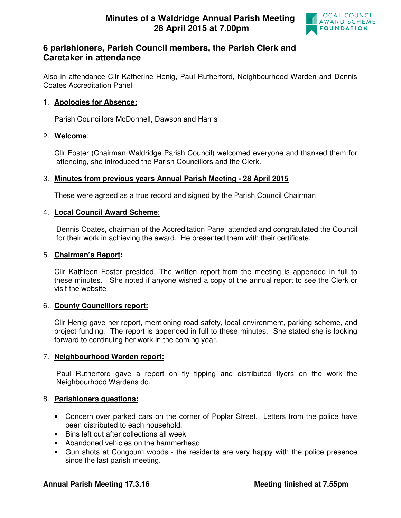

# **6 parishioners, Parish Council members, the Parish Clerk and Caretaker in attendance**

Also in attendance Cllr Katherine Henig, Paul Rutherford, Neighbourhood Warden and Dennis Coates Accreditation Panel

### 1. **Apologies for Absence:**

Parish Councillors McDonnell, Dawson and Harris

### 2. **Welcome**:

Cllr Foster (Chairman Waldridge Parish Council) welcomed everyone and thanked them for attending, she introduced the Parish Councillors and the Clerk.

# 3. **Minutes from previous years Annual Parish Meeting - 28 April 2015**

These were agreed as a true record and signed by the Parish Council Chairman

### 4. **Local Council Award Scheme**:

 Dennis Coates, chairman of the Accreditation Panel attended and congratulated the Council for their work in achieving the award. He presented them with their certificate.

#### 5. **Chairman's Report:**

Cllr Kathleen Foster presided. The written report from the meeting is appended in full to these minutes. She noted if anyone wished a copy of the annual report to see the Clerk or visit the website

### 6. **County Councillors report:**

Cllr Henig gave her report, mentioning road safety, local environment, parking scheme, and project funding. The report is appended in full to these minutes. She stated she is looking forward to continuing her work in the coming year.

### 7. **Neighbourhood Warden report:**

Paul Rutherford gave a report on fly tipping and distributed flyers on the work the Neighbourhood Wardens do.

### 8. **Parishioners questions:**

- Concern over parked cars on the corner of Poplar Street. Letters from the police have been distributed to each household.
- Bins left out after collections all week
- Abandoned vehicles on the hammerhead
- Gun shots at Congburn woods the residents are very happy with the police presence since the last parish meeting.

### **Annual Parish Meeting 17.3.16 Meeting finished at 7.55pm**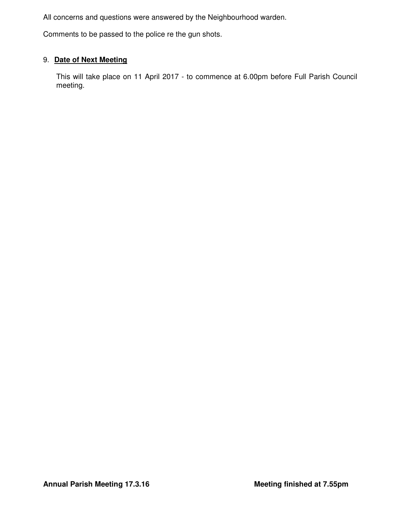All concerns and questions were answered by the Neighbourhood warden.

Comments to be passed to the police re the gun shots.

# 9. **Date of Next Meeting**

 This will take place on 11 April 2017 - to commence at 6.00pm before Full Parish Council meeting.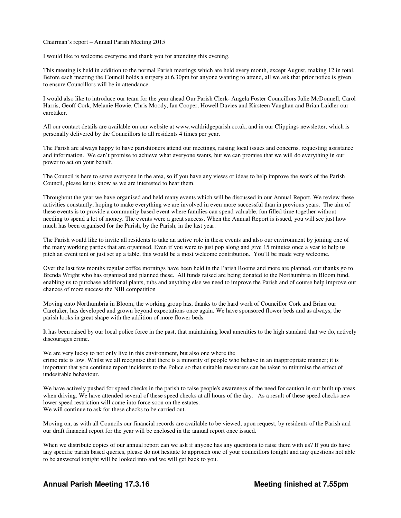Chairman's report – Annual Parish Meeting 2015

I would like to welcome everyone and thank you for attending this evening.

This meeting is held in addition to the normal Parish meetings which are held every month, except August, making 12 in total. Before each meeting the Council holds a surgery at 6.30pm for anyone wanting to attend, all we ask that prior notice is given to ensure Councillors will be in attendance.

I would also like to introduce our team for the year ahead Our Parish Clerk- Angela Foster Councillors Julie McDonnell, Carol Harris, Geoff Cork, Melanie Howie, Chris Moody, Ian Cooper, Howell Davies and Kirsteen Vaughan and Brian Laidler our caretaker.

All our contact details are available on our website at www.waldridgeparish.co.uk, and in our Clippings newsletter, which is personally delivered by the Councillors to all residents 4 times per year.

The Parish are always happy to have parishioners attend our meetings, raising local issues and concerns, requesting assistance and information. We can't promise to achieve what everyone wants, but we can promise that we will do everything in our power to act on your behalf.

The Council is here to serve everyone in the area, so if you have any views or ideas to help improve the work of the Parish Council, please let us know as we are interested to hear them.

Throughout the year we have organised and held many events which will be discussed in our Annual Report. We review these activities constantly; hoping to make everything we are involved in even more successful than in previous years. The aim of these events is to provide a community based event where families can spend valuable, fun filled time together without needing to spend a lot of money. The events were a great success. When the Annual Report is issued, you will see just how much has been organised for the Parish, by the Parish, in the last year.

The Parish would like to invite all residents to take an active role in these events and also our environment by joining one of the many working parties that are organised. Even if you were to just pop along and give 15 minutes once a year to help us pitch an event tent or just set up a table, this would be a most welcome contribution. You'll be made very welcome.

Over the last few months regular coffee mornings have been held in the Parish Rooms and more are planned, our thanks go to Brenda Wright who has organised and planned these. All funds raised are being donated to the Northumbria in Bloom fund, enabling us to purchase additional plants, tubs and anything else we need to improve the Parish and of course help improve our chances of more success the NIB competition

Moving onto Northumbria in Bloom, the working group has, thanks to the hard work of Councillor Cork and Brian our Caretaker, has developed and grown beyond expectations once again. We have sponsored flower beds and as always, the parish looks in great shape with the addition of more flower beds.

It has been raised by our local police force in the past, that maintaining local amenities to the high standard that we do, actively discourages crime.

We are very lucky to not only live in this environment, but also one where the crime rate is low. Whilst we all recognise that there is a minority of people who behave in an inappropriate manner; it is important that you continue report incidents to the Police so that suitable measurers can be taken to minimise the effect of undesirable behaviour.

We have actively pushed for speed checks in the parish to raise people's awareness of the need for caution in our built up areas when driving. We have attended several of these speed checks at all hours of the day. As a result of these speed checks new lower speed restriction will come into force soon on the estates. We will continue to ask for these checks to be carried out.

Moving on, as with all Councils our financial records are available to be viewed, upon request, by residents of the Parish and our draft financial report for the year will be enclosed in the annual report once issued.

When we distribute copies of our annual report can we ask if anyone has any questions to raise them with us? If you do have any specific parish based queries, please do not hesitate to approach one of your councillors tonight and any questions not able to be answered tonight will be looked into and we will get back to you.